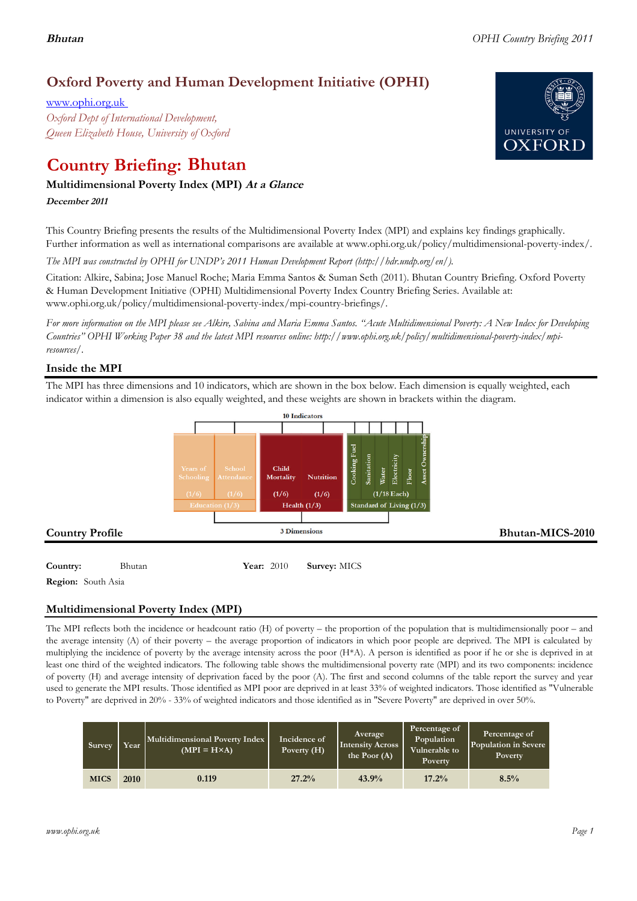# **Oxford Poverty and Human Development Initiative (OPHI)**

www.ophi.org.uk *Oxford Dept of International Development, Queen Elizabeth House, University of Oxford*

# **Country Briefing: Bhutan**

# **Multidimensional Poverty Index (MPI) At <sup>a</sup> Glance**

**December <sup>2011</sup>**

This Country Briefing presents the results of the Multidimensional Poverty Index (MPI) and explains key findings graphically. Further information as well as international comparisons are available at www.ophi.org.uk/policy/multidimensional-poverty-index/.

*The MPI was constructed by OPHI for UNDP's 2011 Human Development Report (http://hdr.undp.org/en/).*

Citation: Alkire, Sabina; Jose Manuel Roche; Maria Emma Santos & Suman Seth (2011). Bhutan Country Briefing. Oxford Poverty & Human Development Initiative (OPHI) Multidimensional Poverty Index Country Briefing Series. Available at: www.ophi.org.uk/policy/multidimensional-poverty-index/mpi-country-briefings/.

*For more information on the MPI please see Alkire, Sabina and Maria Emma Santos. "Acute Multidimensional Poverty: A New Index for Developing Countries" OPHI Working Paper 38 and the latest MPI resources online: http://www.ophi.org.uk/policy/multidimensional-poverty-index/mpiresources/.*

# **Inside the MPI**

The MPI has three dimensions and 10 indicators, which are shown in the box below. Each dimension is equally weighted, each indicator within a dimension is also equally weighted, and these weights are shown in brackets within the diagram.



**Region:** South Asia

# **Multidimensional Poverty Index (MPI)**

The MPI reflects both the incidence or headcount ratio (H) of poverty – the proportion of the population that is multidimensionally poor – and the average intensity (A) of their poverty – the average proportion of indicators in which poor people are deprived. The MPI is calculated by multiplying the incidence of poverty by the average intensity across the poor (H\*A). A person is identified as poor if he or she is deprived in at least one third of the weighted indicators. The following table shows the multidimensional poverty rate (MPI) and its two components: incidence of poverty (H) and average intensity of deprivation faced by the poor (A). The first and second columns of the table report the survey and year used to generate the MPI results. Those identified as MPI poor are deprived in at least 33% of weighted indicators. Those identified as "Vulnerable to Poverty" are deprived in 20% - 33% of weighted indicators and those identified as in "Severe Poverty" are deprived in over 50%.

| Survey      | Year | Multidimensional Poverty Index<br>$(MPI = H \times A)$ | Incidence of<br>Poverty $(H)$ | Average<br>Intensity Across<br>the Poor $(A)$ | Percentage of<br>Population<br>Vulnerable to<br>Poverty. | Percentage of<br>Population in Severe<br><b>Poverty</b> |
|-------------|------|--------------------------------------------------------|-------------------------------|-----------------------------------------------|----------------------------------------------------------|---------------------------------------------------------|
| <b>MICS</b> | 2010 | 0.119                                                  | 27.2%                         | 43.9%                                         | 17.2%                                                    | 8.5%                                                    |

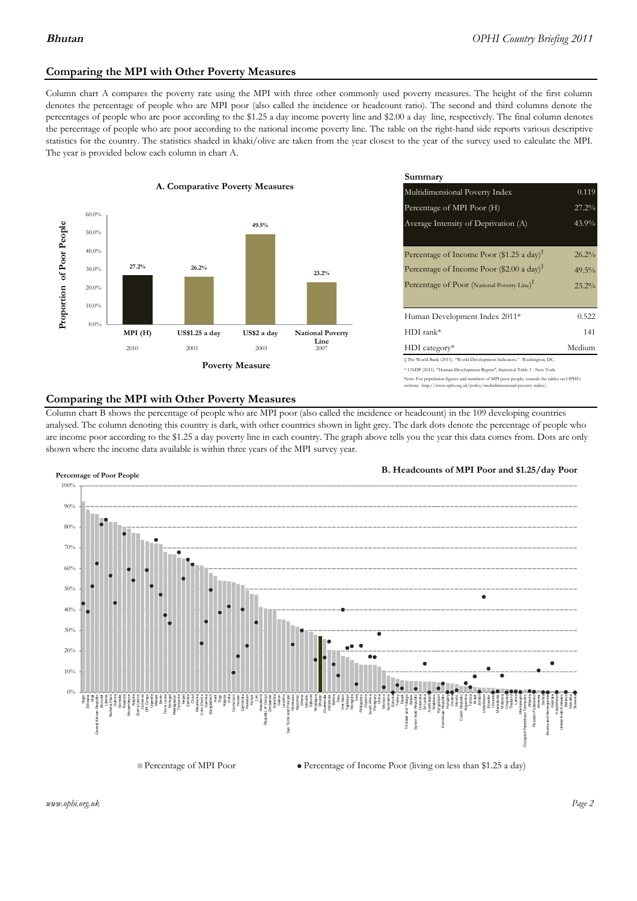# **Comparing the MPI with Other Poverty Measures**

Column chart A compares the poverty rate using the MPI with three other commonly used poverty measures. The height of the first column denotes the percentage of people who are MPI poor (also called the incidence or headcount ratio). The second and third columns denote the percentages of people who are poor according to the \$1.25 a day income poverty line and \$2.00 a day line, respectively. The final column denotes the percentage of people who are poor according to the national income poverty line. The table on the right-hand side reports various descriptive statistics for the country. The statistics shaded in khaki/olive are taken from the year closest to the year of the survey used to calculate the MPI. The year is provided below each column in chart A.



|                 |                         | Summary                                                                                                                                                    |          |  |  |
|-----------------|-------------------------|------------------------------------------------------------------------------------------------------------------------------------------------------------|----------|--|--|
| erty Measures   |                         | 0.119<br>Multidimensional Poverty Index                                                                                                                    |          |  |  |
|                 |                         | Percentage of MPI Poor (H)                                                                                                                                 | 27.2%    |  |  |
| 49.5%           |                         | Average Intensity of Deprivation (A)                                                                                                                       | 43.9%    |  |  |
|                 |                         | Percentage of Income Poor (\$1.25 a day) <sup><math>\ddagger</math></sup>                                                                                  | 26.2%    |  |  |
|                 | 23.2%                   | Percentage of Income Poor (\$2.00 a day) <sup><math>\bar{x}</math></sup>                                                                                   | $49.5\%$ |  |  |
|                 |                         | Percentage of Poor (National Poverty Line) <sup>†</sup>                                                                                                    | 23.2%    |  |  |
|                 |                         | Human Development Index 2011*                                                                                                                              | 0.522    |  |  |
| US\$2 a day     | <b>National Poverty</b> | $HDI$ rank*                                                                                                                                                | 141      |  |  |
| 2003            | Line<br>2007            | $HDI category*$                                                                                                                                            | Medium   |  |  |
| <b>⁄Ieasure</b> |                         | $\pm$ The World Bank (2011). "World Development Indicators." Washington, DC.<br>* UNDP (2011). "Human Development Report", Statistical Table 1 . New York. |          |  |  |

te: For population figures and numbers of MPI poor people, consult the tables on OPHI's te: http://www.ophi.org.uk/policy/multidimensional-poverty-index/

## **Comparing the MPI with Other Poverty Measures**

Column chart B shows the percentage of people who are MPI poor (also called the incidence or headcount) in the 109 developing countries analysed. The column denoting this country is dark, with other countries shown in light grey. The dark dots denote the percentage of people who are income poor according to the \$1.25 a day poverty line in each country. The graph above tells you the year this data comes from. Dots are only shown where the income data available is within three years of the MPI survey year.



**B. Headcounts of MPI Poor and \$1.25/day Poor**



 $\bullet$  Percentage of Income Poor (living on less than \$1.25 a day)

*www.ophi.org.uk Page 2*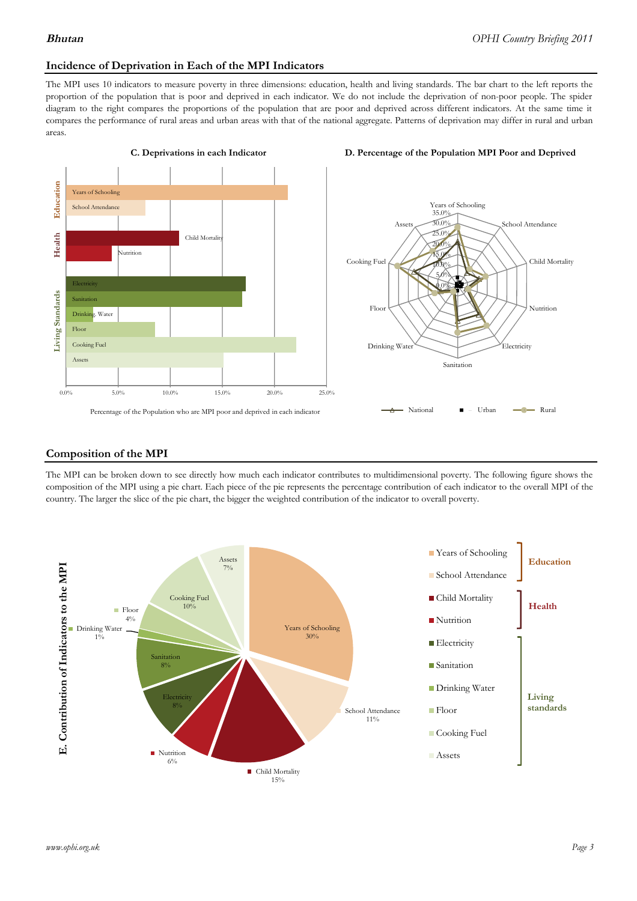### **Incidence of Deprivation in Each of the MPI Indicators**

The MPI uses 10 indicators to measure poverty in three dimensions: education, health and living standards. The bar chart to the left reports the proportion of the population that is poor and deprived in each indicator. We do not include the deprivation of non-poor people. The spider diagram to the right compares the proportions of the population that are poor and deprived across different indicators. At the same time it compares the performance of rural areas and urban areas with that of the national aggregate. Patterns of deprivation may differ in rural and urban areas.







### **Composition of the MPI**

The MPI can be broken down to see directly how much each indicator contributes to multidimensional poverty. The following figure shows the composition of the MPI using a pie chart. Each piece of the pie represents the percentage contribution of each indicator to the overall MPI of the country. The larger the slice of the pie chart, the bigger the weighted contribution of the indicator to overall poverty.